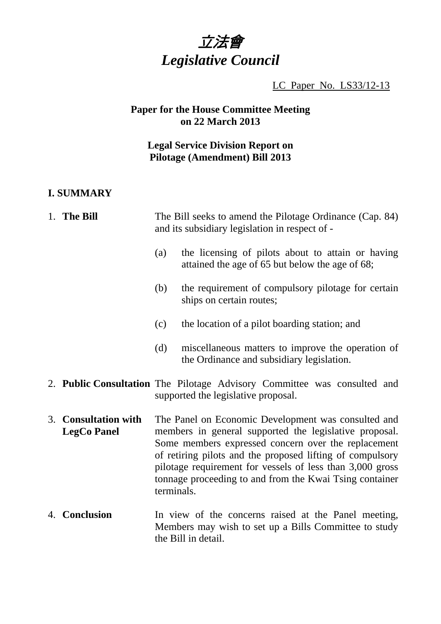

LC Paper No. LS33/12-13

# **Paper for the House Committee Meeting on 22 March 2013**

# **Legal Service Division Report on Pilotage (Amendment) Bill 2013**

# **I. SUMMARY**

| 1. The Bill                                | The Bill seeks to amend the Pilotage Ordinance (Cap. 84)<br>and its subsidiary legislation in respect of -                                                                                                                                                                                                                                                              |                                                                                                                 |
|--------------------------------------------|-------------------------------------------------------------------------------------------------------------------------------------------------------------------------------------------------------------------------------------------------------------------------------------------------------------------------------------------------------------------------|-----------------------------------------------------------------------------------------------------------------|
|                                            | (a)                                                                                                                                                                                                                                                                                                                                                                     | the licensing of pilots about to attain or having<br>attained the age of 65 but below the age of 68;            |
|                                            | (b)                                                                                                                                                                                                                                                                                                                                                                     | the requirement of compulsory pilotage for certain<br>ships on certain routes;                                  |
|                                            | (c)                                                                                                                                                                                                                                                                                                                                                                     | the location of a pilot boarding station; and                                                                   |
|                                            | (d)                                                                                                                                                                                                                                                                                                                                                                     | miscellaneous matters to improve the operation of<br>the Ordinance and subsidiary legislation.                  |
|                                            |                                                                                                                                                                                                                                                                                                                                                                         | 2. Public Consultation The Pilotage Advisory Committee was consulted and<br>supported the legislative proposal. |
| 3. Consultation with<br><b>LegCo Panel</b> | The Panel on Economic Development was consulted and<br>members in general supported the legislative proposal.<br>Some members expressed concern over the replacement<br>of retiring pilots and the proposed lifting of compulsory<br>pilotage requirement for vessels of less than 3,000 gross<br>tonnage proceeding to and from the Kwai Tsing container<br>terminals. |                                                                                                                 |
| 4. Conclusion                              | In view of the concerns raised at the Panel meeting,<br>Members may wish to set up a Bills Committee to study<br>the Bill in detail.                                                                                                                                                                                                                                    |                                                                                                                 |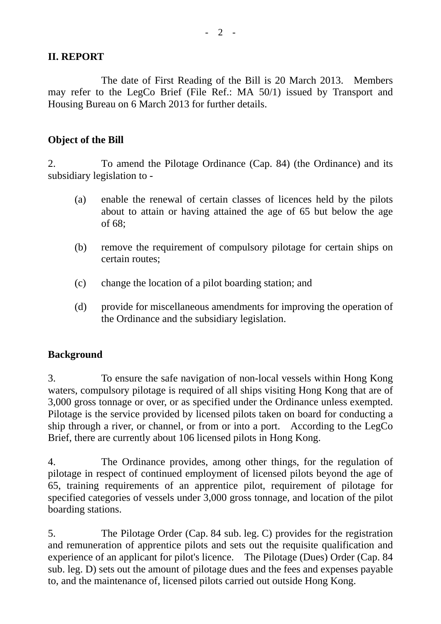## **II. REPORT**

 The date of First Reading of the Bill is 20 March 2013. Members may refer to the LegCo Brief (File Ref.: MA 50/1) issued by Transport and Housing Bureau on 6 March 2013 for further details.

## **Object of the Bill**

2. To amend the Pilotage Ordinance (Cap. 84) (the Ordinance) and its subsidiary legislation to -

- (a) enable the renewal of certain classes of licences held by the pilots about to attain or having attained the age of 65 but below the age of 68;
- (b) remove the requirement of compulsory pilotage for certain ships on certain routes;
- (c) change the location of a pilot boarding station; and
- (d) provide for miscellaneous amendments for improving the operation of the Ordinance and the subsidiary legislation.

## **Background**

3. To ensure the safe navigation of non-local vessels within Hong Kong waters, compulsory pilotage is required of all ships visiting Hong Kong that are of 3,000 gross tonnage or over, or as specified under the Ordinance unless exempted. Pilotage is the service provided by licensed pilots taken on board for conducting a ship through a river, or channel, or from or into a port. According to the LegCo Brief, there are currently about 106 licensed pilots in Hong Kong.

4. The Ordinance provides, among other things, for the regulation of pilotage in respect of continued employment of licensed pilots beyond the age of 65, training requirements of an apprentice pilot, requirement of pilotage for specified categories of vessels under 3,000 gross tonnage, and location of the pilot boarding stations.

5. The Pilotage Order (Cap. 84 sub. leg. C) provides for the registration and remuneration of apprentice pilots and sets out the requisite qualification and experience of an applicant for pilot's licence. The Pilotage (Dues) Order (Cap. 84 sub. leg. D) sets out the amount of pilotage dues and the fees and expenses payable to, and the maintenance of, licensed pilots carried out outside Hong Kong.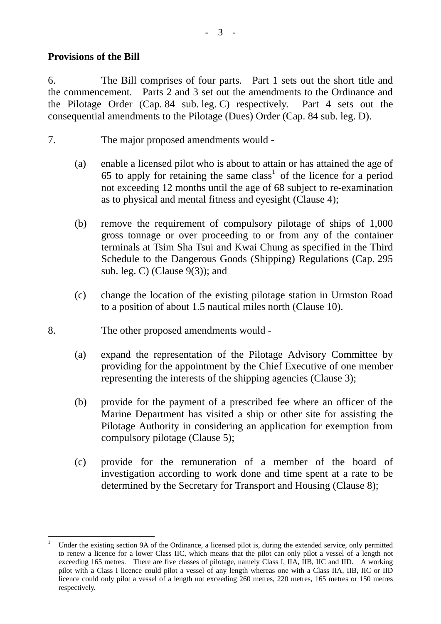#### **Provisions of the Bill**

l

6. The Bill comprises of four parts. Part 1 sets out the short title and the commencement. Parts 2 and 3 set out the amendments to the Ordinance and the Pilotage Order (Cap. 84 sub. leg. C) respectively. Part 4 sets out the consequential amendments to the Pilotage (Dues) Order (Cap. 84 sub. leg. D).

- 7. The major proposed amendments would
	- (a) enable a licensed pilot who is about to attain or has attained the age of  $65$  to apply for retaining the same class<sup>1</sup> of the licence for a period not exceeding 12 months until the age of 68 subject to re-examination as to physical and mental fitness and eyesight (Clause 4);
	- (b) remove the requirement of compulsory pilotage of ships of 1,000 gross tonnage or over proceeding to or from any of the container terminals at Tsim Sha Tsui and Kwai Chung as specified in the Third Schedule to the Dangerous Goods (Shipping) Regulations (Cap. 295 sub. leg. C) (Clause  $9(3)$ ); and
	- (c) change the location of the existing pilotage station in Urmston Road to a position of about 1.5 nautical miles north (Clause 10).
- 8. The other proposed amendments would
	- (a) expand the representation of the Pilotage Advisory Committee by providing for the appointment by the Chief Executive of one member representing the interests of the shipping agencies (Clause 3);
	- (b) provide for the payment of a prescribed fee where an officer of the Marine Department has visited a ship or other site for assisting the Pilotage Authority in considering an application for exemption from compulsory pilotage (Clause 5);
	- (c) provide for the remuneration of a member of the board of investigation according to work done and time spent at a rate to be determined by the Secretary for Transport and Housing (Clause 8);

<sup>1</sup> Under the existing section 9A of the Ordinance, a licensed pilot is, during the extended service, only permitted to renew a licence for a lower Class IIC, which means that the pilot can only pilot a vessel of a length not exceeding 165 metres. There are five classes of pilotage, namely Class I, IIA, IIB, IIC and IID. A working pilot with a Class I licence could pilot a vessel of any length whereas one with a Class IIA, IIB, IIC or IID licence could only pilot a vessel of a length not exceeding 260 metres, 220 metres, 165 metres or 150 metres respectively.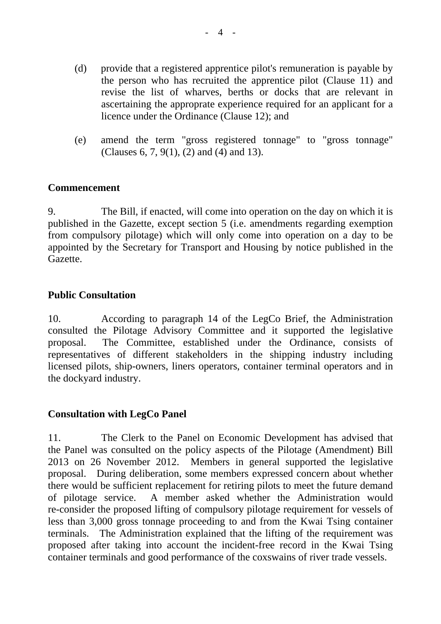- (d) provide that a registered apprentice pilot's remuneration is payable by the person who has recruited the apprentice pilot (Clause 11) and revise the list of wharves, berths or docks that are relevant in ascertaining the approprate experience required for an applicant for a licence under the Ordinance (Clause 12); and
- (e) amend the term "gross registered tonnage" to "gross tonnage" (Clauses 6, 7, 9(1), (2) and (4) and 13).

#### **Commencement**

9. The Bill, if enacted, will come into operation on the day on which it is published in the Gazette, except section 5 (i.e. amendments regarding exemption from compulsory pilotage) which will only come into operation on a day to be appointed by the Secretary for Transport and Housing by notice published in the Gazette.

## **Public Consultation**

10. According to paragraph 14 of the LegCo Brief, the Administration consulted the Pilotage Advisory Committee and it supported the legislative proposal. The Committee, established under the Ordinance, consists of representatives of different stakeholders in the shipping industry including licensed pilots, ship-owners, liners operators, container terminal operators and in the dockyard industry.

## **Consultation with LegCo Panel**

11. The Clerk to the Panel on Economic Development has advised that the Panel was consulted on the policy aspects of the Pilotage (Amendment) Bill 2013 on 26 November 2012. Members in general supported the legislative proposal. During deliberation, some members expressed concern about whether there would be sufficient replacement for retiring pilots to meet the future demand of pilotage service. A member asked whether the Administration would re-consider the proposed lifting of compulsory pilotage requirement for vessels of less than 3,000 gross tonnage proceeding to and from the Kwai Tsing container terminals. The Administration explained that the lifting of the requirement was proposed after taking into account the incident-free record in the Kwai Tsing container terminals and good performance of the coxswains of river trade vessels.